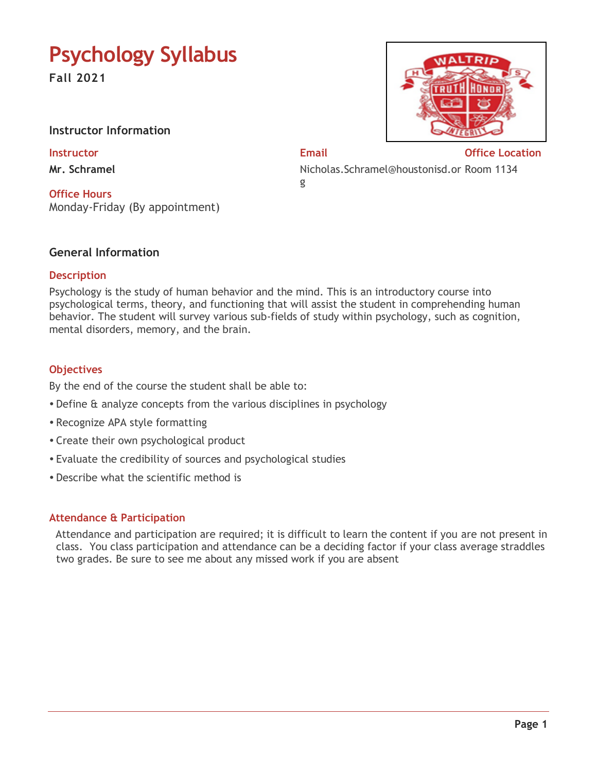# **Psychology Syllabus**

**Fall 2021**

# **Instructor Information**

**Mr. Schramel** 

**Office Hours** Monday-Friday (By appointment)

**Instructor Email Office Location** Nicholas.Schramel@houstonisd.or Room 1134 g

# **General Information**

#### **Description**

Psychology is the study of human behavior and the mind. This is an introductory course into psychological terms, theory, and functioning that will assist the student in comprehending human behavior. The student will survey various sub-fields of study within psychology, such as cognition, mental disorders, memory, and the brain.

#### **Objectives**

By the end of the course the student shall be able to:

- Define & analyze concepts from the various disciplines in psychology
- Recognize APA style formatting
- Create their own psychological product
- Evaluate the credibility of sources and psychological studies
- Describe what the scientific method is

#### **Attendance & Participation**

 Attendance and participation are required; it is difficult to learn the content if you are not present in class. You class participation and attendance can be a deciding factor if your class average straddles two grades. Be sure to see me about any missed work if you are absent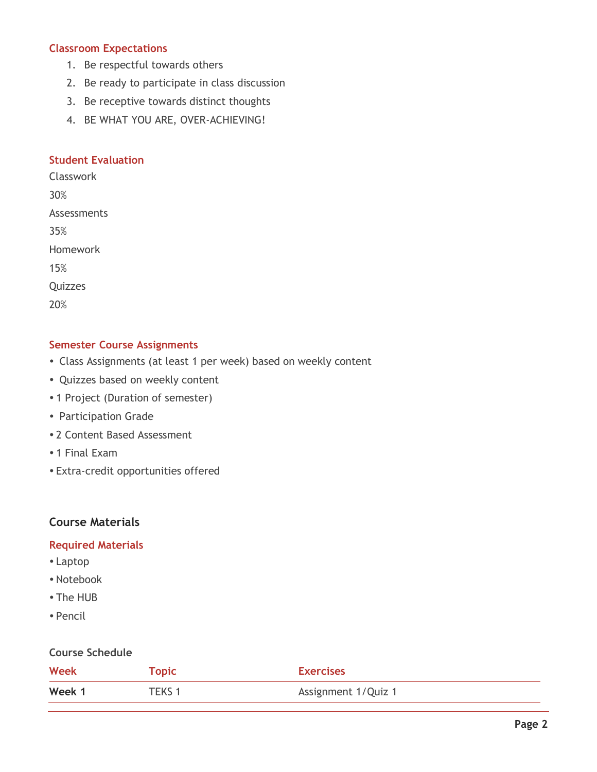### **Classroom Expectations**

- 1. Be respectful towards others
- 2. Be ready to participate in class discussion
- 3. Be receptive towards distinct thoughts
- 4. BE WHAT YOU ARE, OVER-ACHIEVING!

### **Student Evaluation**

Classwork 30%

Assessments

35%

Homework

15%

**Quizzes** 

20%

# **Semester Course Assignments**

- Class Assignments (at least 1 per week) based on weekly content
- Quizzes based on weekly content
- 1 Project (Duration of semester)
- Participation Grade
- 2 Content Based Assessment
- 1 Final Exam
- Extra-credit opportunities offered

# **Course Materials**

#### **Required Materials**

- Laptop
- Notebook
- The HUB
- Pencil

# **Course Schedule**

| <b>Week</b> | <b>Topic</b> | <b>Exercises</b>    |
|-------------|--------------|---------------------|
| Week 1      | TEKS 1       | Assignment 1/Quiz 1 |